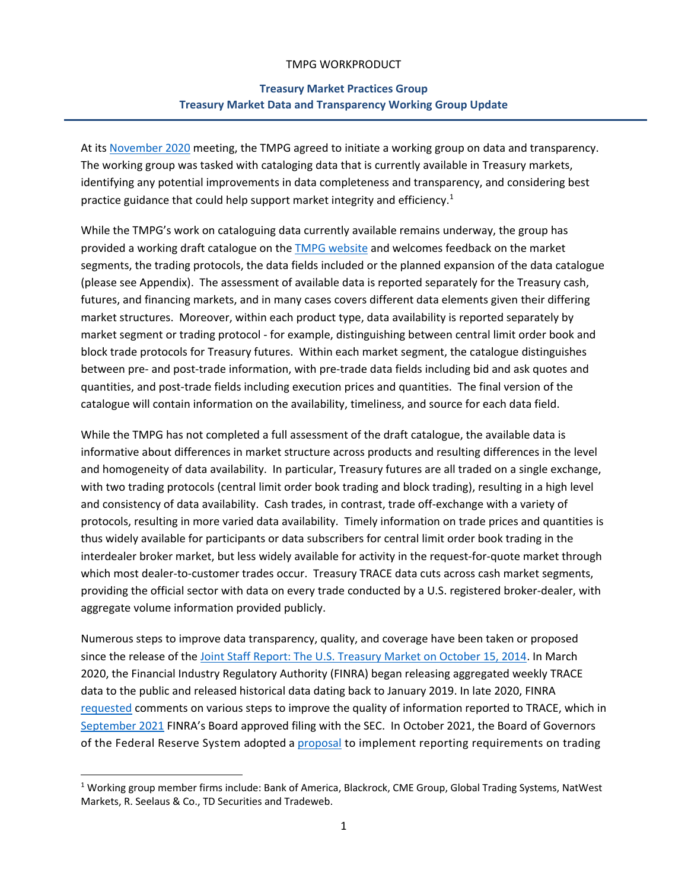## TMPG WORKPRODUCT

## **Treasury Market Practices Group Treasury Market Data and Transparency Working Group Update**

At its [November 2020](https://www.newyorkfed.org/medialibrary/Microsites/tmpg/files/november-2020-tmpg-meeting-minutes.pdf) meeting, the TMPG agreed to initiate a working group on data and transparency. The working group was tasked with cataloging data that is currently available in Treasury markets, identifying any potential improvements in data completeness and transparency, and considering best practice guidance that could help support market integrity and efficiency.<sup>1</sup>

While the TMPG's work on cataloguing data currently available remains underway, the group has provided a working draft catalogue on th[e TMPG website](https://www.newyorkfed.org/medialibrary/Microsites/tmpg/files/DT_Draft_Catalogues.pdf) and welcomes feedback on the market segments, the trading protocols, the data fields included or the planned expansion of the data catalogue (please see Appendix). The assessment of available data is reported separately for the Treasury cash, futures, and financing markets, and in many cases covers different data elements given their differing market structures. Moreover, within each product type, data availability is reported separately by market segment or trading protocol - for example, distinguishing between central limit order book and block trade protocols for Treasury futures. Within each market segment, the catalogue distinguishes between pre- and post-trade information, with pre-trade data fields including bid and ask quotes and quantities, and post-trade fields including execution prices and quantities. The final version of the catalogue will contain information on the availability, timeliness, and source for each data field.

While the TMPG has not completed a full assessment of the draft catalogue, the available data is informative about differences in market structure across products and resulting differences in the level and homogeneity of data availability. In particular, Treasury futures are all traded on a single exchange, with two trading protocols (central limit order book trading and block trading), resulting in a high level and consistency of data availability. Cash trades, in contrast, trade off-exchange with a variety of protocols, resulting in more varied data availability. Timely information on trade prices and quantities is thus widely available for participants or data subscribers for central limit order book trading in the interdealer broker market, but less widely available for activity in the request-for-quote market through which most dealer-to-customer trades occur. Treasury TRACE data cuts across cash market segments, providing the official sector with data on every trade conducted by a U.S. registered broker-dealer, with aggregate volume information provided publicly.

Numerous steps to improve data transparency, quality, and coverage have been taken or proposed since the release of th[e Joint Staff Report: The U.S. Treasury Market on October 15, 2014.](https://www.treasury.gov/press-center/press-releases/Documents/Joint_Staff_Report_Treasury_10-15-2015.pdf) In March 2020, the Financial Industry Regulatory Authority (FINRA) began releasing aggregated weekly TRACE data to the public and released historical data dating back to January 2019. In late 2020, FINRA [requested](https://www.finra.org/rules-guidance/notices/20-43) comments on various steps to improve the quality of information reported to TRACE, which in [September 2021](https://www.finra.org/about/governance/finra-board-governors/meetings/update-finra-board-governors-meeting-september-2021) FINRA's Board approved filing with the SEC. In October 2021, the Board of Governors of the Federal Reserve System adopted a **proposal** to implement reporting requirements on trading

<sup>&</sup>lt;sup>1</sup> Working group member firms include: Bank of America, Blackrock, CME Group, Global Trading Systems, NatWest Markets, R. Seelaus & Co., TD Securities and Tradeweb.